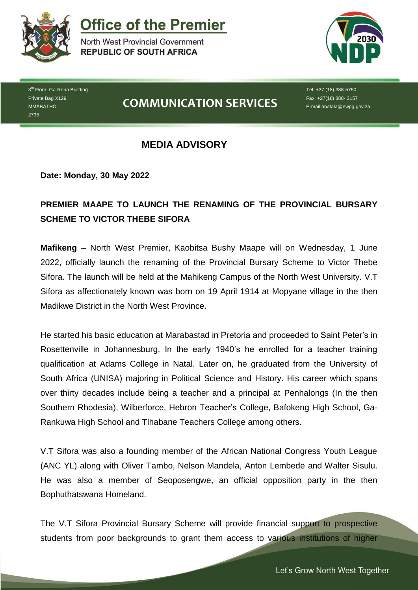

**Office of the Premier** 

North West Provincial Government **REPUBLIC OF SOUTH AFRICA** 



3<sup>rd</sup> Floor, Ga-Rona Building Private Bag X129, MMABATHO 2735

# **COMMUNICATION SERVICES**

Tel: +27 (18) 388-5750 Fax: +27(18) 388- 3157 E-mail:abatala@nwpg.gov.za

### **MEDIA ADVISORY**

**Date: Monday, 30 May 2022**

## **PREMIER MAAPE TO LAUNCH THE RENAMING OF THE PROVINCIAL BURSARY SCHEME TO VICTOR THEBE SIFORA**

**Mafikeng** – North West Premier, Kaobitsa Bushy Maape will on Wednesday, 1 June 2022, officially launch the renaming of the Provincial Bursary Scheme to Victor Thebe Sifora. The launch will be held at the Mahikeng Campus of the North West University. V.T Sifora as affectionately known was born on 19 April 1914 at Mopyane village in the then Madikwe District in the North West Province.

He started his basic education at Marabastad in Pretoria and proceeded to Saint Peter's in Rosettenville in Johannesburg. In the early 1940's he enrolled for a teacher training qualification at Adams College in Natal. Later on, he graduated from the University of South Africa (UNISA) majoring in Political Science and History. His career which spans over thirty decades include being a teacher and a principal at Penhalongs (In the then Southern Rhodesia), Wilberforce, Hebron Teacher's College, Bafokeng High School, Ga-Rankuwa High School and Tlhabane Teachers College among others.

V.T Sifora was also a founding member of the African National Congress Youth League (ANC YL) along with Oliver Tambo, Nelson Mandela, Anton Lembede and Walter Sisulu. He was also a member of Seoposengwe, an official opposition party in the then Bophuthatswana Homeland.

The V.T Sifora Provincial Bursary Scheme will provide financial support to prospective students from poor backgrounds to grant them access to various institutions of higher

*Let's Grow North West Together*